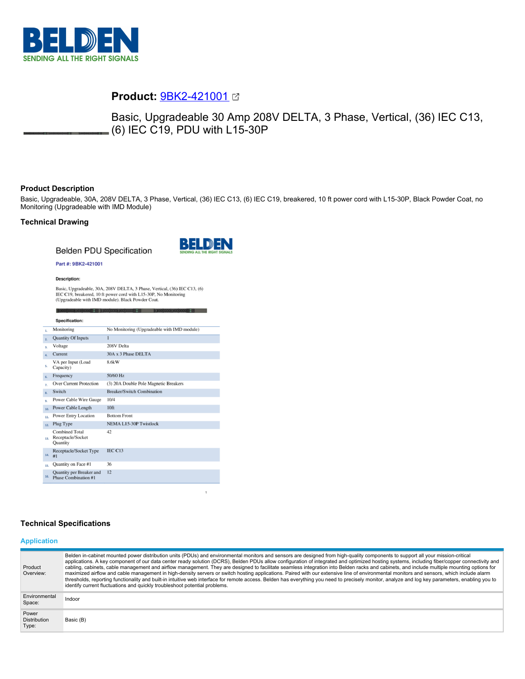

# **Product:** [9BK2-421001](https://catalog.belden.com/index.cfm?event=pd&p=PF_9BK2421001&tab=downloads)

Basic, Upgradeable 30 Amp 208V DELTA, 3 Phase, Vertical, (36) IEC C13, (6) IEC C19, PDU with L15-30P

# **Product Description**

Basic, Upgradeable, 30A, 208V DELTA, 3 Phase, Vertical, (36) IEC C13, (6) IEC C19, breakered, 10 ft power cord with L15-30P, Black Powder Coat, no Monitoring (Upgradeable with IMD Module)

# **Technical Drawing**

**Belden PDU Specification** 



### Part #: 9BK2-421001

Description:

Basic, Upgradeable, 30A, 208V DELTA, 3 Phase, Vertical, (36) IEC C13, (6) IEC C19, breakered, 10 ft power cord with L15-30P, No Monitoring (Upgradeable with IMD module). Black Powder Coat.

|                  | Specification:                                                |                                             |
|------------------|---------------------------------------------------------------|---------------------------------------------|
| 1.               | Monitoring                                                    | No Monitoring (Upgradeable with IMD module) |
| 2.               | <b>Quantity Of Inputs</b>                                     | $\mathbf{1}$                                |
| 3.               | Voltage                                                       | 208V Delta                                  |
| $\overline{a}$ . | Current                                                       | 30A x 3 Phase DELTA                         |
| 5.               | VA per Input (Load<br>Capacity)                               | 8.6kW                                       |
| 6.               | Frequency                                                     | 50/60 Hz                                    |
| $\overline{z}$   | <b>Over Current Protection</b>                                | (3) 20A Double Pole Magnetic Breakers       |
| $\mathbf{R}$ .   | Switch                                                        | <b>Breaker/Switch Combination</b>           |
| 9.               | <b>Power Cable Wire Gauge</b>                                 | 10/4                                        |
| 10.              | Power Cable Length                                            | 10 <sup>ft</sup>                            |
| 11.              | <b>Power Entry Location</b>                                   | <b>Bottom Front</b>                         |
| 12.              | Plug Type                                                     | <b>NEMA L15-30P Twistlock</b>               |
| 13.              | <b>Combined Total</b><br>Receptacle/Socket<br><b>Quantity</b> | 42                                          |
| 14.              | Receptacle/Socket Type<br>#1                                  | IEC C13                                     |
| 15.              | Quantity on Face #1                                           | 36                                          |
| 16.              | Quantity per Breaker and<br>Phase Combination #1              | 12                                          |

# **Technical Specifications**

#### **Application**

| Product<br>Overview:                  | Belden in-cabinet mounted power distribution units (PDUs) and environmental monitors and sensors are designed from high-quality components to support all your mission-critical<br>applications. A key component of our data center ready solution (DCRS), Belden PDUs allow configuration of integrated and optimized hosting systems, including fiber/copper connectivity and<br>cabling, cabinets, cable management and airflow management. They are designed to facilitate seamless integration into Belden racks and cabinets, and include multiple mounting options for<br>maximized airflow and cable management in high-density servers or switch hosting applications. Paired with our extensive line of environmental monitors and sensors, which include alarm<br>thresholds, reporting functionality and built-in intuitive web interface for remote access. Belden has everything you need to precisely monitor, analyze and log key parameters, enabling you to<br>identify current fluctuations and quickly troubleshoot potential problems. |
|---------------------------------------|-------------------------------------------------------------------------------------------------------------------------------------------------------------------------------------------------------------------------------------------------------------------------------------------------------------------------------------------------------------------------------------------------------------------------------------------------------------------------------------------------------------------------------------------------------------------------------------------------------------------------------------------------------------------------------------------------------------------------------------------------------------------------------------------------------------------------------------------------------------------------------------------------------------------------------------------------------------------------------------------------------------------------------------------------------------|
| Environmental<br>Space:               | Indoor                                                                                                                                                                                                                                                                                                                                                                                                                                                                                                                                                                                                                                                                                                                                                                                                                                                                                                                                                                                                                                                      |
| Power<br><b>Distribution</b><br>Type: | Basic (B)                                                                                                                                                                                                                                                                                                                                                                                                                                                                                                                                                                                                                                                                                                                                                                                                                                                                                                                                                                                                                                                   |